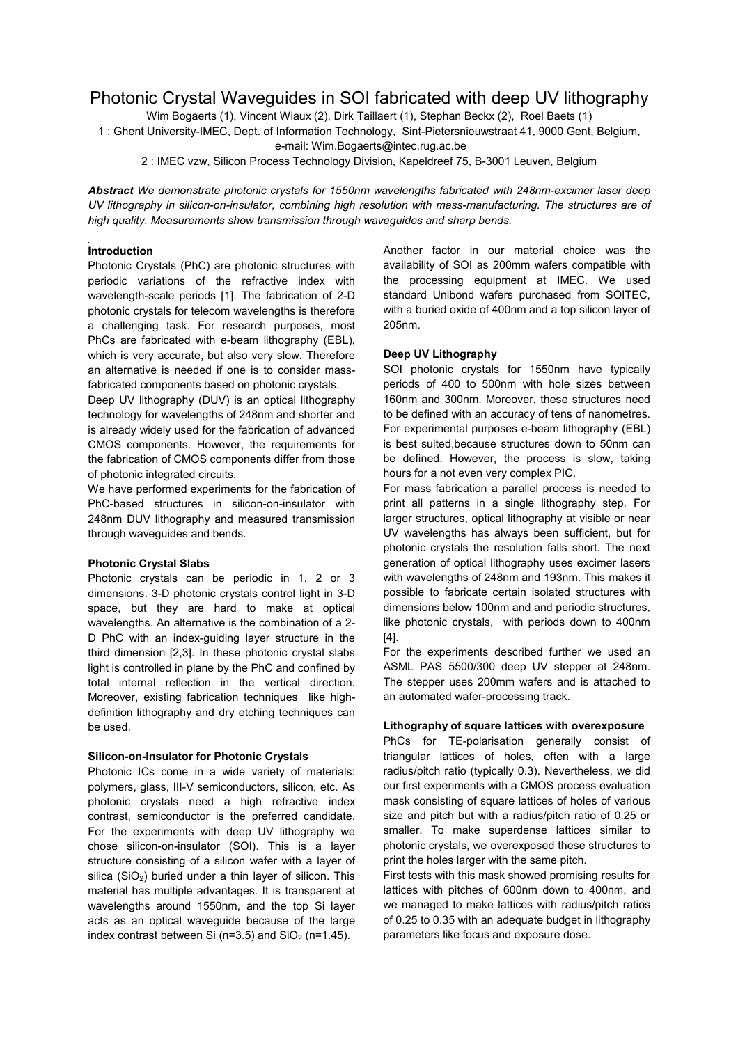# Photonic Crystal Waveguides in SOI fabricated with deep UV lithography

Wim Bogaerts (1), Vincent Wiaux (2), Dirk Taillaert (1), Stephan Beckx (2), Roel Baets (1)

1 : Ghent University-IMEC, Dept. of Information Technology, Sint-Pietersnieuwstraat 41, 9000 Gent, Belgium,

e-mail: Wim.Bogaerts@intec.rug.ac.be

2 : IMEC vzw, Silicon Process Technology Division, Kapeldreef 75, B-3001 Leuven, Belgium

*Abstract We demonstrate photonic crystals for 1550nm wavelengths fabricated with 248nm-excimer laser deep UV lithography in silicon-on-insulator, combining high resolution with mass-manufacturing. The structures are of high quality. Measurements show transmission through waveguides and sharp bends.*

# **Introduction**

Photonic Crystals (PhC) are photonic structures with periodic variations of the refractive index with wavelength-scale periods [1]. The fabrication of 2-D photonic crystals for telecom wavelengths is therefore a challenging task. For research purposes, most PhCs are fabricated with e-beam lithography (EBL), which is very accurate, but also very slow. Therefore an alternative is needed if one is to consider massfabricated components based on photonic crystals.

Deep UV lithography (DUV) is an optical lithography technology for wavelengths of 248nm and shorter and is already widely used for the fabrication of advanced CMOS components. However, the requirements for the fabrication of CMOS components differ from those of photonic integrated circuits.

We have performed experiments for the fabrication of PhC-based structures in silicon-on-insulator with 248nm DUV lithography and measured transmission through waveguides and bends.

## **Photonic Crystal Slabs**

Photonic crystals can be periodic in 1, 2 or 3 dimensions. 3-D photonic crystals control light in 3-D space, but they are hard to make at optical wavelengths. An alternative is the combination of a 2- D PhC with an index-guiding layer structure in the third dimension [2,3]. In these photonic crystal slabs light is controlled in plane by the PhC and confined by total internal reflection in the vertical direction. Moreover, existing fabrication techniques like highdefinition lithography and dry etching techniques can be used.

## **Silicon-on-Insulator for Photonic Crystals**

Photonic ICs come in a wide variety of materials: polymers, glass, III-V semiconductors, silicon, etc. As photonic crystals need a high refractive index contrast, semiconductor is the preferred candidate. For the experiments with deep UV lithography we chose silicon-on-insulator (SOI). This is a layer structure consisting of a silicon wafer with a layer of silica  $(SiO<sub>2</sub>)$  buried under a thin layer of silicon. This material has multiple advantages. It is transparent at wavelengths around 1550nm, and the top Si layer acts as an optical waveguide because of the large index contrast between Si ( $n=3.5$ ) and SiO<sub>2</sub> ( $n=1.45$ ).

Another factor in our material choice was the availability of SOI as 200mm wafers compatible with the processing equipment at IMEC. We used standard Unibond wafers purchased from SOITEC, with a buried oxide of 400nm and a top silicon layer of 205nm.

## **Deep UV Lithography**

SOI photonic crystals for 1550nm have typically periods of 400 to 500nm with hole sizes between 160nm and 300nm. Moreover, these structures need to be defined with an accuracy of tens of nanometres. For experimental purposes e-beam lithography (EBL) is best suited,because structures down to 50nm can be defined. However, the process is slow, taking hours for a not even very complex PIC.

For mass fabrication a parallel process is needed to print all patterns in a single lithography step. For larger structures, optical lithography at visible or near UV wavelengths has always been sufficient, but for photonic crystals the resolution falls short. The next generation of optical lithography uses excimer lasers with wavelengths of 248nm and 193nm. This makes it possible to fabricate certain isolated structures with dimensions below 100nm and and periodic structures, like photonic crystals, with periods down to 400nm [4].

For the experiments described further we used an ASML PAS 5500/300 deep UV stepper at 248nm. The stepper uses 200mm wafers and is attached to an automated wafer-processing track.

## **Lithography of square lattices with overexposure**

PhCs for TE-polarisation generally consist of triangular lattices of holes, often with a large radius/pitch ratio (typically 0.3). Nevertheless, we did our first experiments with a CMOS process evaluation mask consisting of square lattices of holes of various size and pitch but with a radius/pitch ratio of 0.25 or smaller. To make superdense lattices similar to photonic crystals, we overexposed these structures to print the holes larger with the same pitch.

First tests with this mask showed promising results for lattices with pitches of 600nm down to 400nm, and we managed to make lattices with radius/pitch ratios of 0.25 to 0.35 with an adequate budget in lithography parameters like focus and exposure dose.